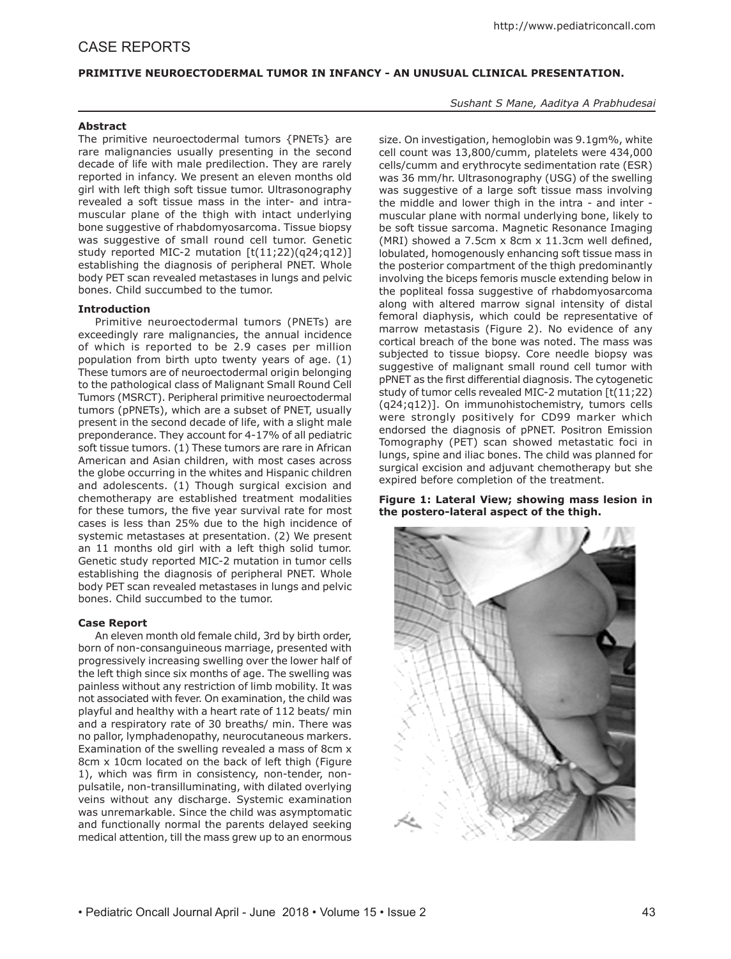# CASE REPORTS

# **PRIMITIVE NEUROECTODERMAL TUMOR IN INFANCY - AN UNUSUAL CLINICAL PRESENTATION.**

## **Abstract**

The primitive neuroectodermal tumors {PNETs} are rare malignancies usually presenting in the second decade of life with male predilection. They are rarely reported in infancy. We present an eleven months old girl with left thigh soft tissue tumor. Ultrasonography revealed a soft tissue mass in the inter- and intramuscular plane of the thigh with intact underlying bone suggestive of rhabdomyosarcoma. Tissue biopsy was suggestive of small round cell tumor. Genetic study reported MIC-2 mutation [t(11;22)(q24;q12)] establishing the diagnosis of peripheral PNET. Whole body PET scan revealed metastases in lungs and pelvic bones. Child succumbed to the tumor.

## **Introduction**

Primitive neuroectodermal tumors (PNETs) are exceedingly rare malignancies, the annual incidence of which is reported to be 2.9 cases per million population from birth upto twenty years of age. (1) These tumors are of neuroectodermal origin belonging to the pathological class of Malignant Small Round Cell Tumors (MSRCT). Peripheral primitive neuroectodermal tumors (pPNETs), which are a subset of PNET, usually present in the second decade of life, with a slight male preponderance. They account for 4-17% of all pediatric soft tissue tumors. (1) These tumors are rare in African American and Asian children, with most cases across the globe occurring in the whites and Hispanic children and adolescents. (1) Though surgical excision and chemotherapy are established treatment modalities for these tumors, the five year survival rate for most cases is less than 25% due to the high incidence of systemic metastases at presentation. (2) We present an 11 months old girl with a left thigh solid tumor. Genetic study reported MIC-2 mutation in tumor cells establishing the diagnosis of peripheral PNET. Whole body PET scan revealed metastases in lungs and pelvic bones. Child succumbed to the tumor.

## **Case Report**

An eleven month old female child, 3rd by birth order, born of non-consanguineous marriage, presented with progressively increasing swelling over the lower half of the left thigh since six months of age. The swelling was painless without any restriction of limb mobility. It was not associated with fever. On examination, the child was playful and healthy with a heart rate of 112 beats/ min and a respiratory rate of 30 breaths/ min. There was no pallor, lymphadenopathy, neurocutaneous markers. Examination of the swelling revealed a mass of 8cm x 8cm x 10cm located on the back of left thigh (Figure 1), which was firm in consistency, non-tender, nonpulsatile, non-transilluminating, with dilated overlying veins without any discharge. Systemic examination was unremarkable. Since the child was asymptomatic and functionally normal the parents delayed seeking medical attention, till the mass grew up to an enormous

*Sushant S Mane, Aaditya A Prabhudesai*

size. On investigation, hemoglobin was 9.1gm%, white cell count was 13,800/cumm, platelets were 434,000 cells/cumm and erythrocyte sedimentation rate (ESR) was 36 mm/hr. Ultrasonography (USG) of the swelling was suggestive of a large soft tissue mass involving the middle and lower thigh in the intra - and inter muscular plane with normal underlying bone, likely to be soft tissue sarcoma. Magnetic Resonance Imaging (MRI) showed a 7.5cm x 8cm x 11.3cm well defined, lobulated, homogenously enhancing soft tissue mass in the posterior compartment of the thigh predominantly involving the biceps femoris muscle extending below in the popliteal fossa suggestive of rhabdomyosarcoma along with altered marrow signal intensity of distal femoral diaphysis, which could be representative of marrow metastasis (Figure 2). No evidence of any cortical breach of the bone was noted. The mass was subjected to tissue biopsy. Core needle biopsy was suggestive of malignant small round cell tumor with pPNET as the first differential diagnosis. The cytogenetic study of tumor cells revealed MIC-2 mutation [t(11;22) (q24;q12)]. On immunohistochemistry, tumors cells were strongly positively for CD99 marker which endorsed the diagnosis of pPNET. Positron Emission Tomography (PET) scan showed metastatic foci in lungs, spine and iliac bones. The child was planned for surgical excision and adjuvant chemotherapy but she expired before completion of the treatment.

**Figure 1: Lateral View; showing mass lesion in the postero-lateral aspect of the thigh.**

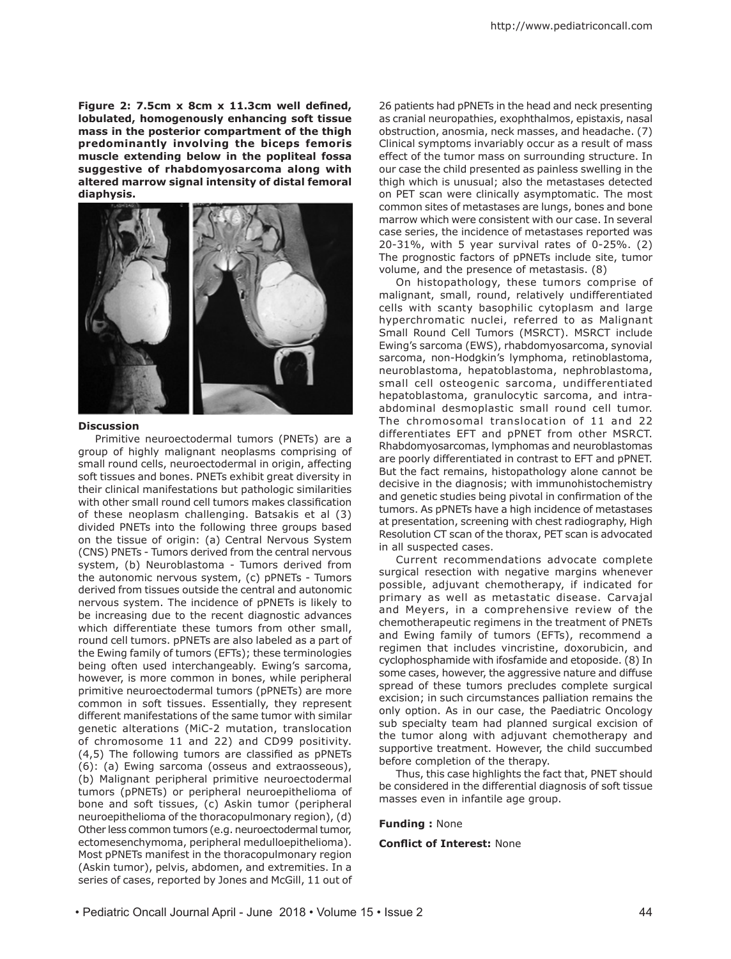**Figure 2: 7.5cm x 8cm x 11.3cm well defined, lobulated, homogenously enhancing soft tissue mass in the posterior compartment of the thigh predominantly involving the biceps femoris muscle extending below in the popliteal fossa suggestive of rhabdomyosarcoma along with altered marrow signal intensity of distal femoral diaphysis.**



#### **Discussion**

Primitive neuroectodermal tumors (PNETs) are a group of highly malignant neoplasms comprising of small round cells, neuroectodermal in origin, affecting soft tissues and bones. PNETs exhibit great diversity in their clinical manifestations but pathologic similarities with other small round cell tumors makes classification of these neoplasm challenging. Batsakis et al (3) divided PNETs into the following three groups based on the tissue of origin: (a) Central Nervous System (CNS) PNETs - Tumors derived from the central nervous system, (b) Neuroblastoma - Tumors derived from the autonomic nervous system, (c) pPNETs - Tumors derived from tissues outside the central and autonomic nervous system. The incidence of pPNETs is likely to be increasing due to the recent diagnostic advances which differentiate these tumors from other small, round cell tumors. pPNETs are also labeled as a part of the Ewing family of tumors (EFTs); these terminologies being often used interchangeably. Ewing's sarcoma, however, is more common in bones, while peripheral primitive neuroectodermal tumors (pPNETs) are more common in soft tissues. Essentially, they represent different manifestations of the same tumor with similar genetic alterations (MiC-2 mutation, translocation of chromosome 11 and 22) and CD99 positivity. (4,5) The following tumors are classified as pPNETs (6): (a) Ewing sarcoma (osseus and extraosseous), (b) Malignant peripheral primitive neuroectodermal tumors (pPNETs) or peripheral neuroepithelioma of bone and soft tissues, (c) Askin tumor (peripheral neuroepithelioma of the thoracopulmonary region), (d) Other less common tumors (e.g. neuroectodermal tumor, ectomesenchymoma, peripheral medulloepithelioma). Most pPNETs manifest in the thoracopulmonary region (Askin tumor), pelvis, abdomen, and extremities. In a series of cases, reported by Jones and McGill, 11 out of

26 patients had pPNETs in the head and neck presenting as cranial neuropathies, exophthalmos, epistaxis, nasal obstruction, anosmia, neck masses, and headache. (7) Clinical symptoms invariably occur as a result of mass effect of the tumor mass on surrounding structure. In our case the child presented as painless swelling in the thigh which is unusual; also the metastases detected on PET scan were clinically asymptomatic. The most common sites of metastases are lungs, bones and bone marrow which were consistent with our case. In several case series, the incidence of metastases reported was 20-31%, with 5 year survival rates of 0-25%. (2) The prognostic factors of pPNETs include site, tumor volume, and the presence of metastasis. (8)

On histopathology, these tumors comprise of malignant, small, round, relatively undifferentiated cells with scanty basophilic cytoplasm and large hyperchromatic nuclei, referred to as Malignant Small Round Cell Tumors (MSRCT). MSRCT include Ewing's sarcoma (EWS), rhabdomyosarcoma, synovial sarcoma, non-Hodgkin's lymphoma, retinoblastoma, neuroblastoma, hepatoblastoma, nephroblastoma, small cell osteogenic sarcoma, undifferentiated hepatoblastoma, granulocytic sarcoma, and intraabdominal desmoplastic small round cell tumor. The chromosomal translocation of 11 and 22 differentiates EFT and pPNET from other MSRCT. Rhabdomyosarcomas, lymphomas and neuroblastomas are poorly differentiated in contrast to EFT and pPNET. But the fact remains, histopathology alone cannot be decisive in the diagnosis; with immunohistochemistry and genetic studies being pivotal in confirmation of the tumors. As pPNETs have a high incidence of metastases at presentation, screening with chest radiography, High Resolution CT scan of the thorax, PET scan is advocated in all suspected cases.

Current recommendations advocate complete surgical resection with negative margins whenever possible, adjuvant chemotherapy, if indicated for primary as well as metastatic disease. Carvajal and Meyers, in a comprehensive review of the chemotherapeutic regimens in the treatment of PNETs and Ewing family of tumors (EFTs), recommend a regimen that includes vincristine, doxorubicin, and cyclophosphamide with ifosfamide and etoposide. (8) In some cases, however, the aggressive nature and diffuse spread of these tumors precludes complete surgical excision; in such circumstances palliation remains the only option. As in our case, the Paediatric Oncology sub specialty team had planned surgical excision of the tumor along with adjuvant chemotherapy and supportive treatment. However, the child succumbed before completion of the therapy.

Thus, this case highlights the fact that, PNET should be considered in the differential diagnosis of soft tissue masses even in infantile age group.

### **Funding :** None

## **Conflict of Interest:** None